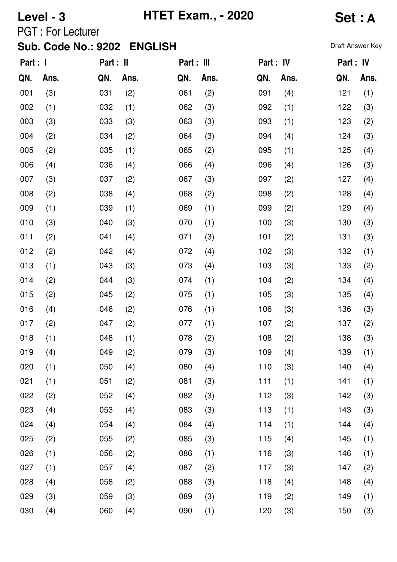# **Level - 3 HTET Exam., - 2020 Set : A**

PGT : For Lecturer

| Part : I |      | Part : II |      | Part : III |      | Part : IV |      | Part : IV |      |
|----------|------|-----------|------|------------|------|-----------|------|-----------|------|
| QN.      | Ans. | QN.       | Ans. | QN.        | Ans. | QN.       | Ans. | QN.       | Ans. |
| 001      | (3)  | 031       | (2)  | 061        | (2)  | 091       | (4)  | 121       | (1)  |
| 002      | (1)  | 032       | (1)  | 062        | (3)  | 092       | (1)  | 122       | (3)  |
| 003      | (3)  | 033       | (3)  | 063        | (3)  | 093       | (1)  | 123       | (2)  |
| 004      | (2)  | 034       | (2)  | 064        | (3)  | 094       | (4)  | 124       | (3)  |
| 005      | (2)  | 035       | (1)  | 065        | (2)  | 095       | (1)  | 125       | (4)  |
| 006      | (4)  | 036       | (4)  | 066        | (4)  | 096       | (4)  | 126       | (3)  |
| 007      | (3)  | 037       | (2)  | 067        | (3)  | 097       | (2)  | 127       | (4)  |
| 008      | (2)  | 038       | (4)  | 068        | (2)  | 098       | (2)  | 128       | (4)  |
| 009      | (1)  | 039       | (1)  | 069        | (1)  | 099       | (2)  | 129       | (4)  |
| 010      | (3)  | 040       | (3)  | 070        | (1)  | 100       | (3)  | 130       | (3)  |
| 011      | (2)  | 041       | (4)  | 071        | (3)  | 101       | (2)  | 131       | (3)  |
| 012      | (2)  | 042       | (4)  | 072        | (4)  | 102       | (3)  | 132       | (1)  |
| 013      | (1)  | 043       | (3)  | 073        | (4)  | 103       | (3)  | 133       | (2)  |
| 014      | (2)  | 044       | (3)  | 074        | (1)  | 104       | (2)  | 134       | (4)  |
| 015      | (2)  | 045       | (2)  | 075        | (1)  | 105       | (3)  | 135       | (4)  |
| 016      | (4)  | 046       | (2)  | 076        | (1)  | 106       | (3)  | 136       | (3)  |
| 017      | (2)  | 047       | (2)  | 077        | (1)  | 107       | (2)  | 137       | (2)  |
| 018      | (1)  | 048       | (1)  | 078        | (2)  | 108       | (2)  | 138       | (3)  |
| 019      | (4)  | 049       | (2)  | 079        | (3)  | 109       | (4)  | 139       | (1)  |
| 020      | (1)  | 050       | (4)  | 080        | (4)  | 110       | (3)  | 140       | (4)  |
| 021      | (1)  | 051       | (2)  | 081        | (3)  | 111       | (1)  | 141       | (1)  |
| 022      | (2)  | 052       | (4)  | 082        | (3)  | 112       | (3)  | 142       | (3)  |
| 023      | (4)  | 053       | (4)  | 083        | (3)  | 113       | (1)  | 143       | (3)  |
| 024      | (4)  | 054       | (4)  | 084        | (4)  | 114       | (1)  | 144       | (4)  |
| 025      | (2)  | 055       | (2)  | 085        | (3)  | 115       | (4)  | 145       | (1)  |
| 026      | (1)  | 056       | (2)  | 086        | (1)  | 116       | (3)  | 146       | (1)  |
| 027      | (1)  | 057       | (4)  | 087        | (2)  | 117       | (3)  | 147       | (2)  |
| 028      | (4)  | 058       | (2)  | 088        | (3)  | 118       | (4)  | 148       | (4)  |
| 029      | (3)  | 059       | (3)  | 089        | (3)  | 119       | (2)  | 149       | (1)  |
| 030      | (4)  | 060       | (4)  | 090        | (1)  | 120       | (3)  | 150       | (3)  |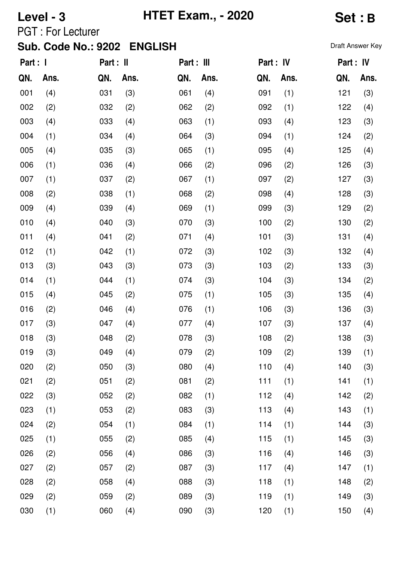## **Level - 3 HTET Exam., - 2020 Set : B**

PGT : For Lecturer

| Part : I |      | Part : II |      | Part : III |      | Part : IV |      | Part : IV |      |
|----------|------|-----------|------|------------|------|-----------|------|-----------|------|
| QN.      | Ans. | QN.       | Ans. | QN.        | Ans. | QN.       | Ans. | QN.       | Ans. |
| 001      | (4)  | 031       | (3)  | 061        | (4)  | 091       | (1)  | 121       | (3)  |
| 002      | (2)  | 032       | (2)  | 062        | (2)  | 092       | (1)  | 122       | (4)  |
| 003      | (4)  | 033       | (4)  | 063        | (1)  | 093       | (4)  | 123       | (3)  |
| 004      | (1)  | 034       | (4)  | 064        | (3)  | 094       | (1)  | 124       | (2)  |
| 005      | (4)  | 035       | (3)  | 065        | (1)  | 095       | (4)  | 125       | (4)  |
| 006      | (1)  | 036       | (4)  | 066        | (2)  | 096       | (2)  | 126       | (3)  |
| 007      | (1)  | 037       | (2)  | 067        | (1)  | 097       | (2)  | 127       | (3)  |
| 008      | (2)  | 038       | (1)  | 068        | (2)  | 098       | (4)  | 128       | (3)  |
| 009      | (4)  | 039       | (4)  | 069        | (1)  | 099       | (3)  | 129       | (2)  |
| 010      | (4)  | 040       | (3)  | 070        | (3)  | 100       | (2)  | 130       | (2)  |
| 011      | (4)  | 041       | (2)  | 071        | (4)  | 101       | (3)  | 131       | (4)  |
| 012      | (1)  | 042       | (1)  | 072        | (3)  | 102       | (3)  | 132       | (4)  |
| 013      | (3)  | 043       | (3)  | 073        | (3)  | 103       | (2)  | 133       | (3)  |
| 014      | (1)  | 044       | (1)  | 074        | (3)  | 104       | (3)  | 134       | (2)  |
| 015      | (4)  | 045       | (2)  | 075        | (1)  | 105       | (3)  | 135       | (4)  |
| 016      | (2)  | 046       | (4)  | 076        | (1)  | 106       | (3)  | 136       | (3)  |
| 017      | (3)  | 047       | (4)  | 077        | (4)  | 107       | (3)  | 137       | (4)  |
| 018      | (3)  | 048       | (2)  | 078        | (3)  | 108       | (2)  | 138       | (3)  |
| 019      | (3)  | 049       | (4)  | 079        | (2)  | 109       | (2)  | 139       | (1)  |
| 020      | (2)  | 050       | (3)  | 080        | (4)  | 110       | (4)  | 140       | (3)  |
| 021      | (2)  | 051       | (2)  | 081        | (2)  | 111       | (1)  | 141       | (1)  |
| 022      | (3)  | 052       | (2)  | 082        | (1)  | 112       | (4)  | 142       | (2)  |
| 023      | (1)  | 053       | (2)  | 083        | (3)  | 113       | (4)  | 143       | (1)  |
| 024      | (2)  | 054       | (1)  | 084        | (1)  | 114       | (1)  | 144       | (3)  |
| 025      | (1)  | 055       | (2)  | 085        | (4)  | 115       | (1)  | 145       | (3)  |
| 026      | (2)  | 056       | (4)  | 086        | (3)  | 116       | (4)  | 146       | (3)  |
| 027      | (2)  | 057       | (2)  | 087        | (3)  | 117       | (4)  | 147       | (1)  |
| 028      | (2)  | 058       | (4)  | 088        | (3)  | 118       | (1)  | 148       | (2)  |
| 029      | (2)  | 059       | (2)  | 089        | (3)  | 119       | (1)  | 149       | (3)  |
| 030      | (1)  | 060       | (4)  | 090        | (3)  | 120       | (1)  | 150       | (4)  |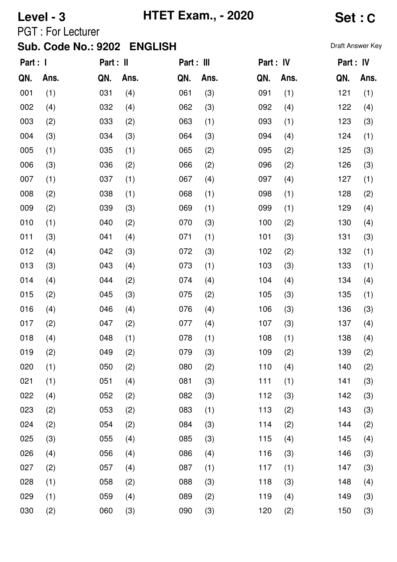# **Level - 3 HTET Exam., - 2020 Set : C**

PGT : For Lecturer

| Part : 1 |      | Part : II |      | Part : III |      | Part : IV |      | Part : IV |      |
|----------|------|-----------|------|------------|------|-----------|------|-----------|------|
| QN.      | Ans. | QN.       | Ans. | QN.        | Ans. | QN.       | Ans. | QN.       | Ans. |
| 001      | (1)  | 031       | (4)  | 061        | (3)  | 091       | (1)  | 121       | (1)  |
| 002      | (4)  | 032       | (4)  | 062        | (3)  | 092       | (4)  | 122       | (4)  |
| 003      | (2)  | 033       | (2)  | 063        | (1)  | 093       | (1)  | 123       | (3)  |
| 004      | (3)  | 034       | (3)  | 064        | (3)  | 094       | (4)  | 124       | (1)  |
| 005      | (1)  | 035       | (1)  | 065        | (2)  | 095       | (2)  | 125       | (3)  |
| 006      | (3)  | 036       | (2)  | 066        | (2)  | 096       | (2)  | 126       | (3)  |
| 007      | (1)  | 037       | (1)  | 067        | (4)  | 097       | (4)  | 127       | (1)  |
| 008      | (2)  | 038       | (1)  | 068        | (1)  | 098       | (1)  | 128       | (2)  |
| 009      | (2)  | 039       | (3)  | 069        | (1)  | 099       | (1)  | 129       | (4)  |
| 010      | (1)  | 040       | (2)  | 070        | (3)  | 100       | (2)  | 130       | (4)  |
| 011      | (3)  | 041       | (4)  | 071        | (1)  | 101       | (3)  | 131       | (3)  |
| 012      | (4)  | 042       | (3)  | 072        | (3)  | 102       | (2)  | 132       | (1)  |
| 013      | (3)  | 043       | (4)  | 073        | (1)  | 103       | (3)  | 133       | (1)  |
| 014      | (4)  | 044       | (2)  | 074        | (4)  | 104       | (4)  | 134       | (4)  |
| 015      | (2)  | 045       | (3)  | 075        | (2)  | 105       | (3)  | 135       | (1)  |
| 016      | (4)  | 046       | (4)  | 076        | (4)  | 106       | (3)  | 136       | (3)  |
| 017      | (2)  | 047       | (2)  | 077        | (4)  | 107       | (3)  | 137       | (4)  |
| 018      | (4)  | 048       | (1)  | 078        | (1)  | 108       | (1)  | 138       | (4)  |
| 019      | (2)  | 049       | (2)  | 079        | (3)  | 109       | (2)  | 139       | (2)  |
| 020      | (1)  | 050       | (2)  | 080        | (2)  | 110       | (4)  | 140       | (2)  |
| 021      | (1)  | 051       | (4)  | 081        | (3)  | 111       | (1)  | 141       | (3)  |
| 022      | (4)  | 052       | (2)  | 082        | (3)  | 112       | (3)  | 142       | (3)  |
| 023      | (2)  | 053       | (2)  | 083        | (1)  | 113       | (2)  | 143       | (3)  |
| 024      | (2)  | 054       | (2)  | 084        | (3)  | 114       | (2)  | 144       | (2)  |
| 025      | (3)  | 055       | (4)  | 085        | (3)  | 115       | (4)  | 145       | (4)  |
| 026      | (4)  | 056       | (4)  | 086        | (4)  | 116       | (3)  | 146       | (3)  |
| 027      | (2)  | 057       | (4)  | 087        | (1)  | 117       | (1)  | 147       | (3)  |
| 028      | (1)  | 058       | (2)  | 088        | (3)  | 118       | (3)  | 148       | (4)  |
| 029      | (1)  | 059       | (4)  | 089        | (2)  | 119       | (4)  | 149       | (3)  |
| 030      | (2)  | 060       | (3)  | 090        | (3)  | 120       | (2)  | 150       | (3)  |